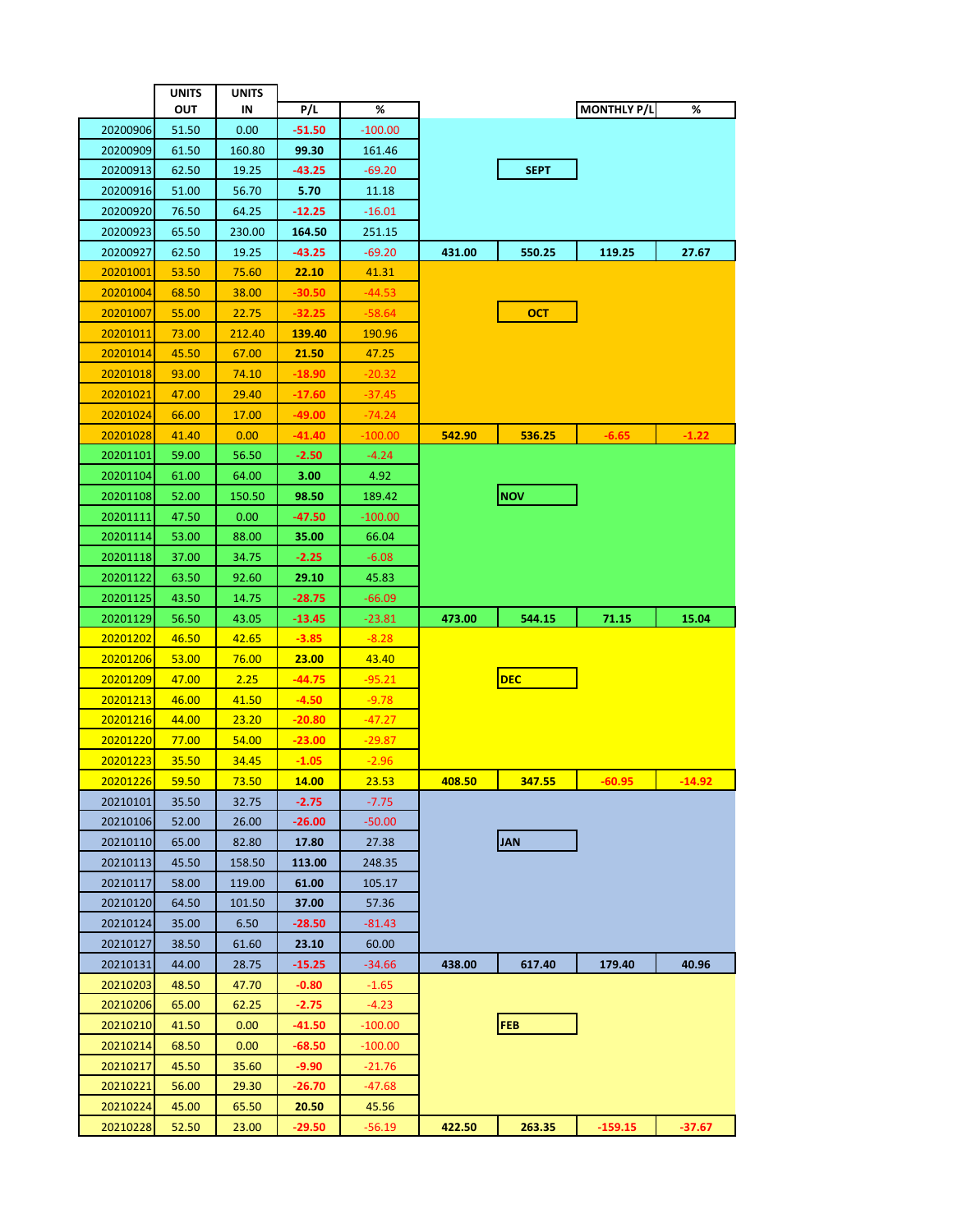|                      | <b>UNITS</b>   | UNITS         |                   |                     |        |               |                    |          |
|----------------------|----------------|---------------|-------------------|---------------------|--------|---------------|--------------------|----------|
|                      | OUT            | IN            | P/L               | %                   |        |               | <b>MONTHLY P/L</b> | %        |
| 20200906             | 51.50          | 0.00          | $-51.50$          | $-100.00$           |        |               |                    |          |
| 20200909             | 61.50          | 160.80        | 99.30             | 161.46              |        |               |                    |          |
| 20200913             | 62.50          | 19.25         | -43.25            | $-69.20$            |        | <b>SEPT</b>   |                    |          |
| 20200916             | 51.00          | 56.70         | 5.70              | 11.18               |        |               |                    |          |
| 20200920             | 76.50          | 64.25         | $-12.25$          | $-16.01$            |        |               |                    |          |
| 20200923             | 65.50          | 230.00        | 164.50            | 251.15              |        |               |                    |          |
| 20200927             | 62.50          | 19.25         | -43.25            | $-69.20$            | 431.00 | 550.25        | 119.25             | 27.67    |
| 20201001             | 53.50          | 75.60         | 22.10             | 41.31               |        |               |                    |          |
| 20201004             | 68.50          | 38.00         | $-30.50$          | $-44.53$            |        |               |                    |          |
| 20201007             | 55.00          | 22.75         | $-32.25$          | $-58.64$            |        | <b>OCT</b>    |                    |          |
| 20201011             | 73.00          | 212.40        | <u>139.40</u>     | 190.96              |        |               |                    |          |
| 20201014             | 45.50          | 67.00         | 21.50             | 47.25               |        |               |                    |          |
| 20201018             | 93.00          | 74.10         | $-18.90$          | $-20.32$            |        |               |                    |          |
| 20201021             | 47.00          | 29.40         | $-17.60$          | -37.45              |        |               |                    |          |
| 20201024             | 66.00          | 17.00         | -49.00            | $-74.24$            |        |               |                    |          |
| 20201028             | 41.40          | 0.00          | -41.40            | $-100.00$           | 542.90 | <b>536.25</b> | $-6.65$            | $-1.22$  |
| 20201101             | 59.00          | 56.50         | $-2.50$           | $-4.24$             |        |               |                    |          |
| 20201104             | 61.00          | 64.00         | 3.00              | 4.92                |        |               |                    |          |
| 20201108             | 52.00          | 150.50        | 98.50             | 189.42              |        | <b>NOV</b>    |                    |          |
| 20201111             | 47.50          | 0.00          | -47.50            | $-100.00$           |        |               |                    |          |
| 20201114             | 53.00          | 88.00         | 35.00             | 66.04               |        |               |                    |          |
| 20201118             | 37.00          | 34.75         | $-2.25$           | $-6.08$             |        |               |                    |          |
| 20201122             | 63.50          | 92.60         | 29.10             | 45.83               |        |               |                    |          |
| 20201125             | 43.50          | 14.75         | -28.75            | $-66.09$            |        |               |                    |          |
| 20201129             | 56.50          | 43.05         | $-13.45$          | $-23.81$            | 473.00 | 544.15        | 71.15              | 15.04    |
| 20201202             | 46.50          | 42.65         | $-3.85$           | $-8.28$             |        |               |                    |          |
| 20201206             | 53.00          | <b>76.00</b>  | <b>23.00</b>      | 43.40               |        | <b>DEC</b>    |                    |          |
| 20201209<br>20201213 | 47.00<br>46.00 | 2.25<br>41.50 | -44.75<br>$-4.50$ | $-95.21$<br>$-9.78$ |        |               |                    |          |
| 20201216             | 44.00          | 23.20         | $-20.80$          | $-47.27$            |        |               |                    |          |
| 20201220             | 77.00          | 54.00         | $-23.00$          | $-29.87$            |        |               |                    |          |
| 20201223             | 35.50          | 34.45         | $-1.05$           | $-2.96$             |        |               |                    |          |
| 20201226             | 59.50          | 73.50         | 14.00             | 23.53               | 408.50 | 347.55        | $-60.95$           | $-14.92$ |
| 20210101             | 35.50          | 32.75         | $-2.75$           | $-7.75$             |        |               |                    |          |
| 20210106             | 52.00          | 26.00         | $-26.00$          | $-50.00$            |        |               |                    |          |
| 20210110             | 65.00          | 82.80         | 17.80             | 27.38               |        | <b>JAN</b>    |                    |          |
| 20210113             | 45.50          | 158.50        | 113.00            | 248.35              |        |               |                    |          |
| 20210117             | 58.00          | 119.00        | 61.00             | 105.17              |        |               |                    |          |
| 20210120             | 64.50          | 101.50        | 37.00             | 57.36               |        |               |                    |          |
| 20210124             | 35.00          | 6.50          | $-28.50$          | $-81.43$            |        |               |                    |          |
| 20210127             | 38.50          | 61.60         | 23.10             | 60.00               |        |               |                    |          |
| 20210131             | 44.00          | 28.75         | $-15.25$          | -34.66              | 438.00 | 617.40        | 179.40             | 40.96    |
| 20210203             | 48.50          | 47.70         | $-0.80$           | $-1.65$             |        |               |                    |          |
| 20210206             | 65.00          | 62.25         | $-2.75$           | $-4.23$             |        |               |                    |          |
| 20210210             | 41.50          | 0.00          | -41.50            | -100.00             |        | <b>FEB</b>    |                    |          |
| 20210214             | 68.50          | 0.00          | -68.50            | $-100.00$           |        |               |                    |          |
| 20210217             | 45.50          | 35.60         | -9.90             | $-21.76$            |        |               |                    |          |
| 20210221             | 56.00          | 29.30         | $-26.70$          | -47.68              |        |               |                    |          |
| 20210224             | 45.00          | 65.50         | 20.50             | 45.56               |        |               |                    |          |
| 20210228             | 52.50          | 23.00         | -29.50            | -56.19              | 422.50 | 263.35        | $-159.15$          | -37.67   |